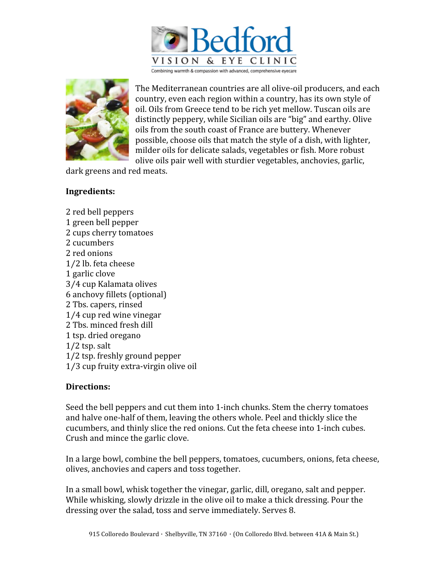

The
Mediterranean
countries
are
all
olive‐oil
producers,
and
each country,
even
each
region
within
a
country,
has
its
own
style
of oil.
Oils
from
Greece
tend
to
be
rich
yet
mellow.
Tuscan
oils
are distinctly
peppery,
while
Sicilian
oils
are
"big"
and
earthy.
Olive oils
from
the
south
coast
of
France
are
buttery.
Whenever possible,
choose
oils
that
match
the
style
of
a
dish,
with
lighter, milder oils for delicate salads, vegetables or fish. More robust olive
oils
pair
well
with
sturdier
vegetables,
anchovies,
garlic,

dark
greens
and
red
meats.

## **Ingredients:**

2
red
bell
peppers 1
green
bell
pepper 2
cups
cherry
tomatoes 2
cucumbers 2
red
onions 1⁄2
lb.
feta
cheese 1
garlic
clove 3⁄4
cup
Kalamata
olives 6
anchovy
fillets
(optional) 2
Tbs.
capers,
rinsed 1⁄4
cup
red
wine
vinegar 2
Tbs.
minced
fresh
dill 1
tsp.
dried
oregano 1/2
tsp.
salt 1/2
tsp.
freshly
ground
pepper 1⁄3
cup
fruity
extra‐virgin
olive
oil

## **Directions:**

Seed the bell peppers and cut them into 1-inch chunks. Stem the cherry tomatoes and
halve
one‐half
of
them,
leaving
the
others
whole.
Peel
and
thickly
slice
the cucumbers,
and
thinly
slice
the
red
onions.
Cut
the
feta
cheese
into
1‐inch
cubes. Crush
and
mince
the
garlic
clove.

In a large bowl, combine the bell peppers, tomatoes, cucumbers, onions, feta cheese, olives,
anchovies
and
capers
and
toss
together.

In
a
small
bowl,
whisk
together
the
vinegar,
garlic,
dill,
oregano,
salt
and
pepper. While whisking, slowly drizzle in the olive oil to make a thick dressing. Pour the dressing
over
the
salad,
toss
and
serve
immediately.
Serves
8.